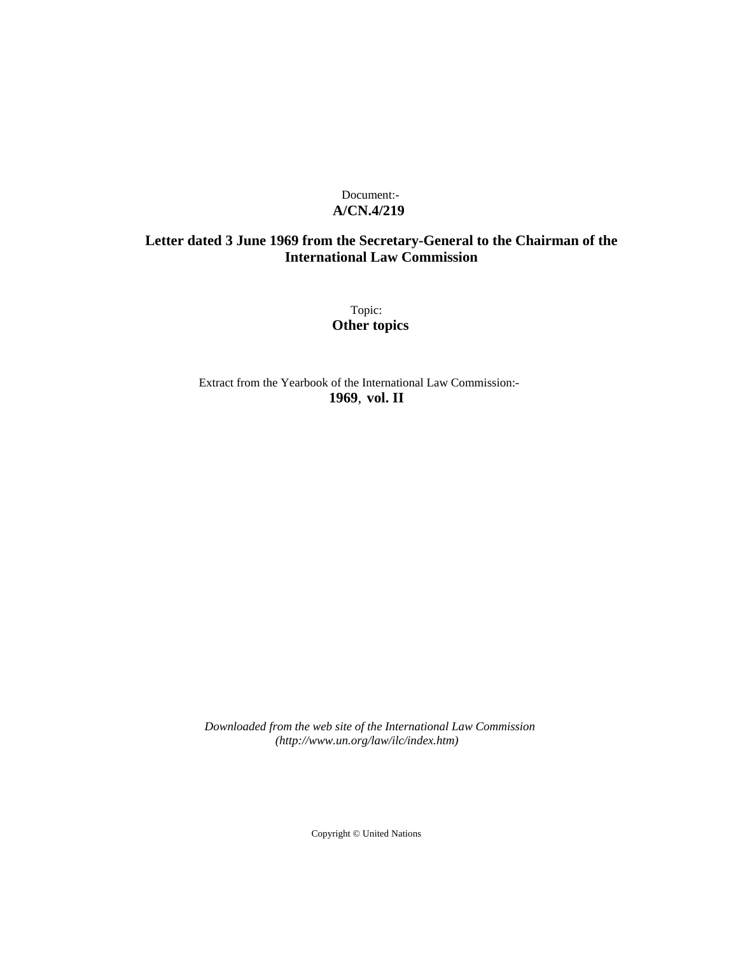## Document:- **A/CN.4/219**

# **Letter dated 3 June 1969 from the Secretary-General to the Chairman of the International Law Commission**

Topic: **Other topics**

Extract from the Yearbook of the International Law Commission:- **1969**, **vol. II**

*Downloaded from the web site of the International Law Commission (http://www.un.org/law/ilc/index.htm)*

Copyright © United Nations